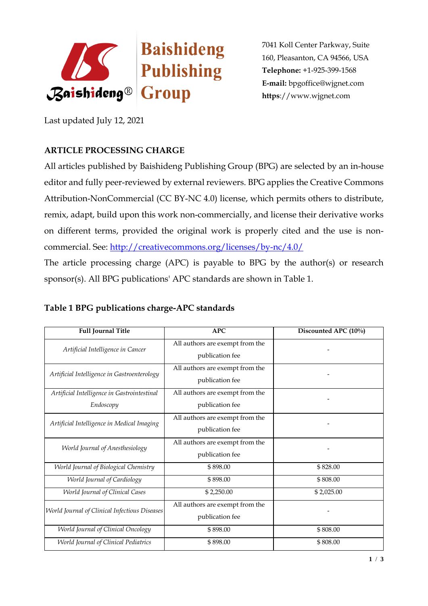

7041 Koll Center Parkway, Suite 160, Pleasanton, CA 94566, USA **Telephone:** +1-925-399-1568 **E-mail:** [bpgoffice@wjgnet.com](mailto:bpgoffice@wjgnet.com)  **https**://www.wjgnet.com

Last updated July 12, 2021

## **ARTICLE PROCESSING CHARGE**

All articles published by Baishideng Publishing Group (BPG) are selected by an in-house editor and fully peer-reviewed by external reviewers. BPG applies the Creative Commons Attribution-NonCommercial (CC BY-NC 4.0) license, which permits others to distribute, remix, adapt, build upon this work non-commercially, and license their derivative works on different terms, provided the original work is properly cited and the use is noncommercial. See:<http://creativecommons.org/licenses/by-nc/4.0/>

The article processing charge (APC) is payable to BPG by the author(s) or research sponsor(s). All BPG publications' APC standards are shown in Table 1.

| <b>Full Journal Title</b>                     | <b>APC</b>                      | Discounted APC (10%) |
|-----------------------------------------------|---------------------------------|----------------------|
| Artificial Intelligence in Cancer             | All authors are exempt from the |                      |
|                                               | publication fee                 |                      |
| Artificial Intelligence in Gastroenterology   | All authors are exempt from the |                      |
|                                               | publication fee                 |                      |
| Artificial Intelligence in Gastrointestinal   | All authors are exempt from the |                      |
| Endoscopy                                     | publication fee                 |                      |
| Artificial Intelligence in Medical Imaging    | All authors are exempt from the |                      |
|                                               | publication fee                 |                      |
| World Journal of Anesthesiology               | All authors are exempt from the |                      |
|                                               | publication fee                 |                      |
| World Journal of Biological Chemistry         | \$898.00                        | \$828.00             |
| World Journal of Cardiology                   | \$898.00                        | \$808.00             |
| <b>World Journal of Clinical Cases</b>        | \$2,250.00                      | \$2,025.00           |
| World Journal of Clinical Infectious Diseases | All authors are exempt from the |                      |
|                                               | publication fee                 |                      |
| World Journal of Clinical Oncology            | \$898.00                        | \$808.00             |
| <b>World Journal of Clinical Pediatrics</b>   | \$898.00                        | \$808.00             |

## **Table 1 BPG publications charge-APC standards**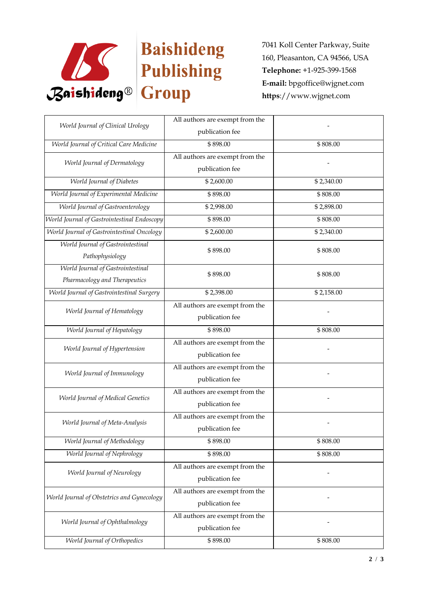

7041 Koll Center Parkway, Suite 160, Pleasanton, CA 94566, USA **Telephone:** +1-925-399-1568 **E-mail:** [bpgoffice@wjgnet.com](mailto:bpgoffice@wjgnet.com)  **https**://www.wjgnet.com

| World Journal of Clinical Urology           | All authors are exempt from the |            |
|---------------------------------------------|---------------------------------|------------|
|                                             | publication fee                 |            |
| World Journal of Critical Care Medicine     | \$898.00                        | \$808.00   |
| World Journal of Dermatology                | All authors are exempt from the |            |
|                                             | publication fee                 |            |
| World Journal of Diabetes                   | \$2,600.00                      | \$2,340.00 |
| World Journal of Experimental Medicine      | \$898.00                        | \$808.00   |
| World Journal of Gastroenterology           | \$2,998.00                      | \$2,898.00 |
| World Journal of Gastrointestinal Endoscopy | \$898.00                        | \$808.00   |
| World Journal of Gastrointestinal Oncology  | \$2,600.00                      | \$2,340.00 |
| World Journal of Gastrointestinal           | \$898.00                        | \$808.00   |
| Pathophysiology                             |                                 |            |
| World Journal of Gastrointestinal           | \$898.00                        | \$808.00   |
| Pharmacology and Therapeutics               |                                 |            |
| World Journal of Gastrointestinal Surgery   | \$2,398.00                      | \$2,158.00 |
| World Journal of Hematology                 | All authors are exempt from the |            |
|                                             | publication fee                 |            |
| World Journal of Hepatology                 | \$898.00                        | \$808.00   |
| World Journal of Hypertension               | All authors are exempt from the |            |
|                                             | publication fee                 |            |
| World Journal of Immunology                 | All authors are exempt from the |            |
|                                             | publication fee                 |            |
| World Journal of Medical Genetics           | All authors are exempt from the |            |
|                                             | publication fee                 |            |
| World Journal of Meta-Analysis              | All authors are exempt from the |            |
|                                             | publication fee                 |            |
| World Journal of Methodology                | \$898.00                        | \$808.00   |
| World Journal of Nephrology                 | \$898.00                        | \$808.00   |
| World Journal of Neurology                  | All authors are exempt from the |            |
|                                             | publication fee                 |            |
| World Journal of Obstetrics and Gynecology  | All authors are exempt from the |            |
|                                             | publication fee                 |            |
| World Journal of Ophthalmology              | All authors are exempt from the |            |
|                                             | publication fee                 |            |
| World Journal of Orthopedics                | \$898.00                        | \$808.00   |